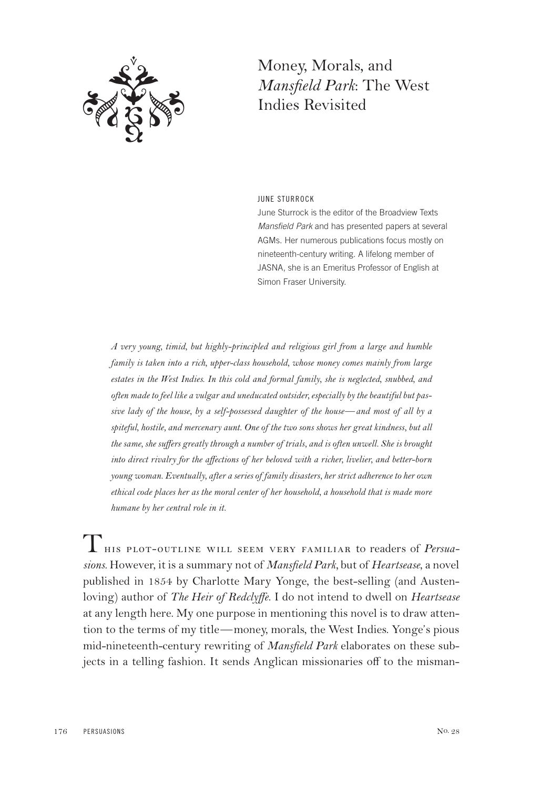

## Money, Morals, and *Mansfield Park*: The West Indies Revisited

JUNE STURROCK

June Sturrock is the editor of the Broadview Texts Mansfield Park and has presented papers at several AGMs. Her numerous publications focus mostly on nineteenth-century writing. A lifelong member of JASNA, she is an Emeritus Professor of English at Simon Fraser University.

*A very young, timid, but highly-principled and religious girl from a large and humble family is taken into a rich, upper-class household, whose money comes mainly from large estates in the West Indies. In this cold and formal family, she is neglected, snubbed, and often made to feel like a vulgar and uneducated outsider, especially by the beautiful but passive lady of the house, by a self-possessed daughter of the house*—*and most of all by a spiteful, hostile, and mercenary aunt. One of the two sons shows her great kindness, but all the same, she suffers greatly through a number of trials, and is often unwell. She is brought into direct rivalry for the affections of her beloved with a richer, livelier, and better-born young woman. Eventually, after a series of family disasters, her strict adherence to her own ethical code places her as the moral center of her household, a household that is made more humane by her central role in it.*

This plot-outline will seem very familiar to readers of *Persuasions.* However, it is a summary not of *Mansfield Park,* but of *Heartsease*, a novel published in 1854 by Charlotte Mary Yonge, the best-selling (and Austenloving) author of *The Heir of Redclyffe*. I do not intend to dwell on *Heartsease* at any length here. My one purpose in mentioning this novel is to draw attention to the terms of my title—money, morals, the West Indies. Yonge's pious mid-nineteenth-century rewriting of *Mansfield Park* elaborates on these subjects in a telling fashion. It sends Anglican missionaries off to the misman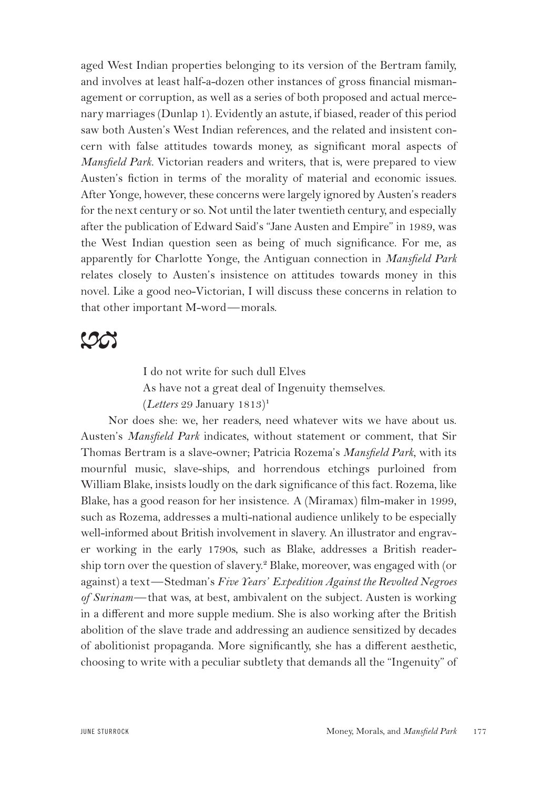aged West Indian properties belonging to its version of the Bertram family, and involves at least half-a-dozen other instances of gross financial mismanagement or corruption, as well as a series of both proposed and actual mercenary marriages (Dunlap 1). Evidently an astute, if biased, reader of this period saw both Austen's West Indian references, and the related and insistent concern with false attitudes towards money, as significant moral aspects of *Mansfield Park*. Victorian readers and writers, that is, were prepared to view Austen's fiction in terms of the morality of material and economic issues. After Yonge, however, these concerns were largely ignored by Austen's readers for the next century or so. Not until the later twentieth century, and especially after the publication of Edward Said's "Jane Austen and Empire" in 1989, was the West Indian question seen as being of much significance. For me, as apparently for Charlotte Yonge, the Antiguan connection in *Mansfield Park* relates closely to Austen's insistence on attitudes towards money in this novel. Like a good neo-Victorian, I will discuss these concerns in relation to that other important M-word—morals.

## $\infty$

I do not write for such dull Elves As have not a great deal of Ingenuity themselves. (*Letters* 29 January 1813)<sup>₁</sup>

Nor does she: we, her readers, need whatever wits we have about us. Austen's *Mansfield Park* indicates, without statement or comment, that Sir Thomas Bertram is a slave-owner; Patricia Rozema's *Mansfield Park*, with its mournful music, slave-ships, and horrendous etchings purloined from William Blake, insists loudly on the dark significance of this fact. Rozema, like Blake, has a good reason for her insistence. A (Miramax) film-maker in 1999, such as Rozema, addresses a multi-national audience unlikely to be especially well-informed about British involvement in slavery. An illustrator and engraver working in the early 1790s, such as Blake, addresses a British readership torn over the question of slavery.<sup>2</sup> Blake, moreover, was engaged with (or against) a text—Stedman's *Five Years' Expedition Against the Revolted Negroes of Surinam*—that was, at best, ambivalent on the subject. Austen is working in a different and more supple medium. She is also working after the British abolition of the slave trade and addressing an audience sensitized by decades of abolitionist propaganda. More significantly, she has a different aesthetic, choosing to write with a peculiar subtlety that demands all the "Ingenuity" of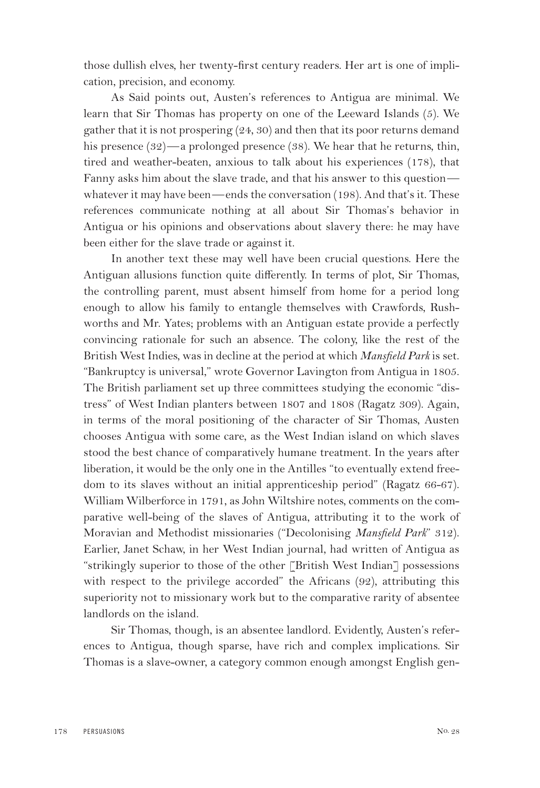those dullish elves, her twenty-first century readers. Her art is one of implication, precision, and economy.

As Said points out, Austen's references to Antigua are minimal. We learn that Sir Thomas has property on one of the Leeward Islands (5). We gather that it is not prospering (24, 30) and then that its poor returns demand his presence (32)—a prolonged presence (38). We hear that he returns, thin, tired and weather-beaten, anxious to talk about his experiences (178), that Fanny asks him about the slave trade, and that his answer to this question whatever it may have been—ends the conversation (198). And that's it. These references communicate nothing at all about Sir Thomas's behavior in Antigua or his opinions and observations about slavery there: he may have been either for the slave trade or against it.

In another text these may well have been crucial questions. Here the Antiguan allusions function quite differently. In terms of plot, Sir Thomas, the controlling parent, must absent himself from home for a period long enough to allow his family to entangle themselves with Crawfords, Rushworths and Mr. Yates; problems with an Antiguan estate provide a perfectly convincing rationale for such an absence. The colony, like the rest of the British West Indies, was in decline at the period at which *Mansfield Park* is set. "Bankruptcy is universal," wrote Governor Lavington from Antigua in 1805. The British parliament set up three committees studying the economic "distress" of West Indian planters between 1807 and 1808 (Ragatz 309). Again, in terms of the moral positioning of the character of Sir Thomas, Austen chooses Antigua with some care, as the West Indian island on which slaves stood the best chance of comparatively humane treatment. In the years after liberation, it would be the only one in the Antilles "to eventually extend freedom to its slaves without an initial apprenticeship period" (Ragatz 66-67). William Wilberforce in 1791, as John Wiltshire notes, comments on the comparative well-being of the slaves of Antigua, attributing it to the work of Moravian and Methodist missionaries ("Decolonising *Mansfield Park*" 312). Earlier, Janet Schaw, in her West Indian journal, had written of Antigua as "strikingly superior to those of the other [British West Indian] possessions with respect to the privilege accorded" the Africans (92), attributing this superiority not to missionary work but to the comparative rarity of absentee landlords on the island.

Sir Thomas, though, is an absentee landlord. Evidently, Austen's references to Antigua, though sparse, have rich and complex implications. Sir Thomas is a slave-owner, a category common enough amongst English gen-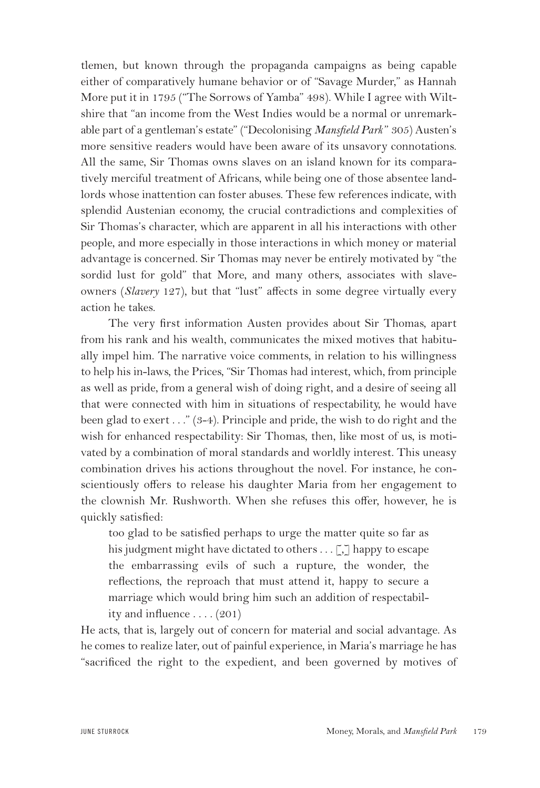tlemen, but known through the propaganda campaigns as being capable either of comparatively humane behavior or of "Savage Murder," as Hannah More put it in 1795 ("The Sorrows of Yamba" 498). While I agree with Wiltshire that "an income from the West Indies would be a normal or unremarkable part of a gentleman's estate" ("Decolonising *Mansfield Park* " 305) Austen's more sensitive readers would have been aware of its unsavory connotations. All the same, Sir Thomas owns slaves on an island known for its comparatively merciful treatment of Africans, while being one of those absentee landlords whose inattention can foster abuses. These few references indicate, with splendid Austenian economy, the crucial contradictions and complexities of Sir Thomas's character, which are apparent in all his interactions with other people, and more especially in those interactions in which money or material advantage is concerned. Sir Thomas may never be entirely motivated by "the sordid lust for gold" that More, and many others, associates with slaveowners (*Slavery* 127), but that "lust" affects in some degree virtually every action he takes.

The very first information Austen provides about Sir Thomas, apart from his rank and his wealth, communicates the mixed motives that habitually impel him. The narrative voice comments, in relation to his willingness to help his in-laws, the Prices, "Sir Thomas had interest, which, from principle as well as pride, from a general wish of doing right, and a desire of seeing all that were connected with him in situations of respectability, he would have been glad to exert . . ." (3-4). Principle and pride, the wish to do right and the wish for enhanced respectability: Sir Thomas, then, like most of us, is motivated by a combination of moral standards and worldly interest. This uneasy combination drives his actions throughout the novel. For instance, he conscientiously offers to release his daughter Maria from her engagement to the clownish Mr. Rushworth. When she refuses this offer, however, he is quickly satisfied:

too glad to be satisfied perhaps to urge the matter quite so far as his judgment might have dictated to others  $\ldots$  [,] happy to escape the embarrassing evils of such a rupture, the wonder, the reflections, the reproach that must attend it, happy to secure a marriage which would bring him such an addition of respectability and influence  $\dots$  (201)

He acts, that is, largely out of concern for material and social advantage. As he comes to realize later, out of painful experience, in Maria's marriage he has "sacrificed the right to the expedient, and been governed by motives of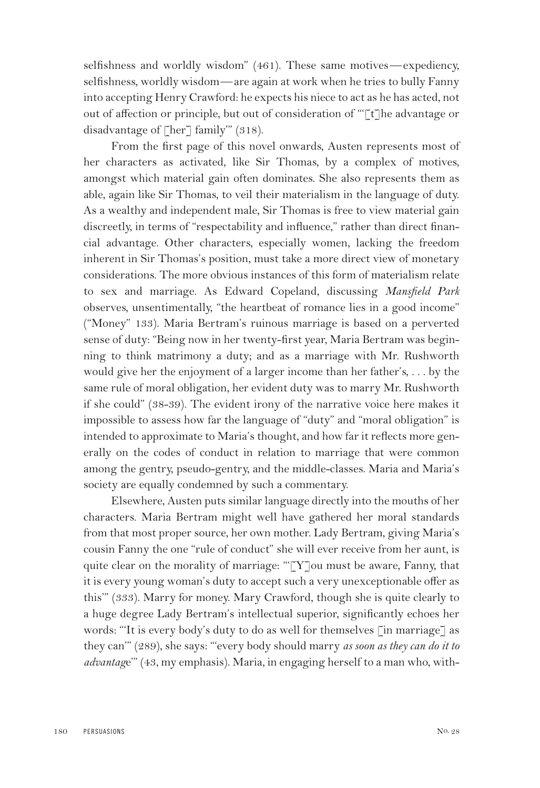selfishness and worldly wisdom" (461). These same motives—expediency, selfishness, worldly wisdom—are again at work when he tries to bully Fanny into accepting Henry Crawford: he expects his niece to act as he has acted, not out of affection or principle, but out of consideration of "'[t]he advantage or disadvantage of [her] family" (318).

From the first page of this novel onwards, Austen represents most of her characters as activated, like Sir Thomas, by a complex of motives, amongst which material gain often dominates. She also represents them as able, again like Sir Thomas, to veil their materialism in the language of duty. As a wealthy and independent male, Sir Thomas is free to view material gain discreetly, in terms of "respectability and influence," rather than direct financial advantage. Other characters, especially women, lacking the freedom inherent in Sir Thomas's position, must take a more direct view of monetary considerations. The more obvious instances of this form of materialism relate to sex and marriage. As Edward Copeland, discussing *Mansfield Park* observes, unsentimentally, "the heartbeat of romance lies in a good income" ("Money" 133). Maria Bertram's ruinous marriage is based on a perverted sense of duty: "Being now in her twenty-first year, Maria Bertram was beginning to think matrimony a duty; and as a marriage with Mr. Rushworth would give her the enjoyment of a larger income than her father's, . . . by the same rule of moral obligation, her evident duty was to marry Mr. Rushworth if she could" (38-39). The evident irony of the narrative voice here makes it impossible to assess how far the language of "duty" and "moral obligation" is intended to approximate to Maria's thought, and how far it reflects more generally on the codes of conduct in relation to marriage that were common among the gentry, pseudo-gentry, and the middle-classes. Maria and Maria's society are equally condemned by such a commentary.

Elsewhere, Austen puts similar language directly into the mouths of her characters. Maria Bertram might well have gathered her moral standards from that most proper source, her own mother. Lady Bertram, giving Maria's cousin Fanny the one "rule of conduct" she will ever receive from her aunt, is quite clear on the morality of marriage: "[Y]ou must be aware, Fanny, that it is every young woman's duty to accept such a very unexceptionable offer as this'" (333). Marry for money. Mary Crawford, though she is quite clearly to a huge degree Lady Bertram's intellectual superior, significantly echoes her words: "'It is every body's duty to do as well for themselves [in marriage] as they can'" (289), she says: "'every body should marry *as soon as they can do it to advantag*e'" (43, my emphasis). Maria, in engaging herself to a man who, with-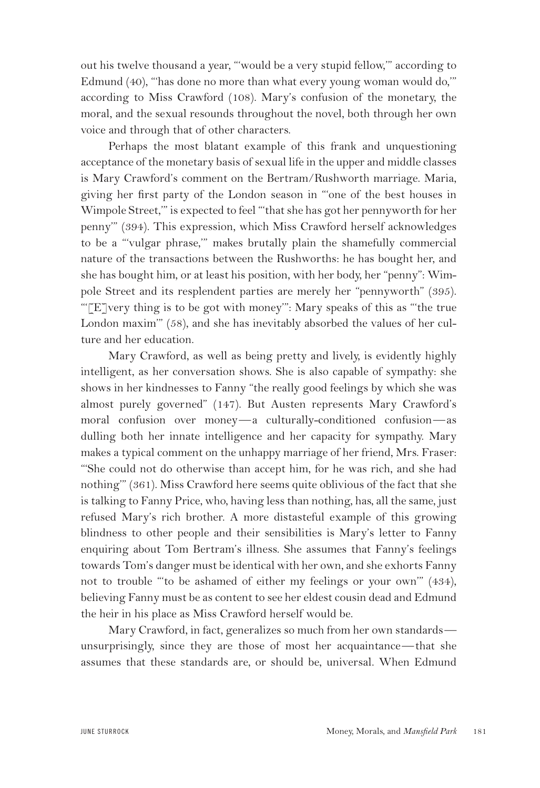out his twelve thousand a year, "'would be a very stupid fellow,'" according to Edmund (40), "'has done no more than what every young woman would do,'" according to Miss Crawford (108). Mary's confusion of the monetary, the moral, and the sexual resounds throughout the novel, both through her own voice and through that of other characters.

Perhaps the most blatant example of this frank and unquestioning acceptance of the monetary basis of sexual life in the upper and middle classes is Mary Crawford's comment on the Bertram/Rushworth marriage. Maria, giving her first party of the London season in "'one of the best houses in Wimpole Street,'" is expected to feel "'that she has got her pennyworth for her penny'" (394). This expression, which Miss Crawford herself acknowledges to be a "'vulgar phrase,'" makes brutally plain the shamefully commercial nature of the transactions between the Rushworths: he has bought her, and she has bought him, or at least his position, with her body, her "penny": Wimpole Street and its resplendent parties are merely her "pennyworth" (395). " $[E]$ very thing is to be got with money": Mary speaks of this as "the true" London maxim'" (58), and she has inevitably absorbed the values of her culture and her education.

Mary Crawford, as well as being pretty and lively, is evidently highly intelligent, as her conversation shows. She is also capable of sympathy: she shows in her kindnesses to Fanny "the really good feelings by which she was almost purely governed" (147). But Austen represents Mary Crawford's moral confusion over money—a culturally-conditioned confusion—as dulling both her innate intelligence and her capacity for sympathy. Mary makes a typical comment on the unhappy marriage of her friend, Mrs. Fraser: "'She could not do otherwise than accept him, for he was rich, and she had nothing'" (361). Miss Crawford here seems quite oblivious of the fact that she is talking to Fanny Price, who, having less than nothing, has, all the same, just refused Mary's rich brother. A more distasteful example of this growing blindness to other people and their sensibilities is Mary's letter to Fanny enquiring about Tom Bertram's illness. She assumes that Fanny's feelings towards Tom's danger must be identical with her own, and she exhorts Fanny not to trouble "'to be ashamed of either my feelings or your own'" (434), believing Fanny must be as content to see her eldest cousin dead and Edmund the heir in his place as Miss Crawford herself would be.

Mary Crawford, in fact, generalizes so much from her own standards unsurprisingly, since they are those of most her acquaintance—that she assumes that these standards are, or should be, universal. When Edmund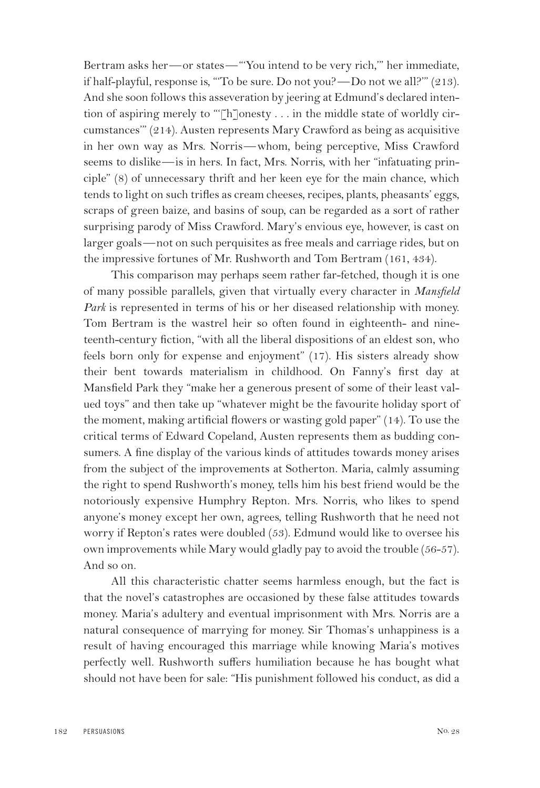Bertram asks her—or states—"'You intend to be very rich,'" her immediate, if half-playful, response is, "'To be sure. Do not you?—Do not we all?'" (213). And she soon follows this asseveration by jeering at Edmund's declared intention of aspiring merely to "'[h]onesty . . . in the middle state of worldly circumstances'" (214). Austen represents Mary Crawford as being as acquisitive in her own way as Mrs. Norris—whom, being perceptive, Miss Crawford seems to dislike—is in hers. In fact, Mrs. Norris, with her "infatuating principle" (8) of unnecessary thrift and her keen eye for the main chance, which tends to light on such trifles as cream cheeses, recipes, plants, pheasants' eggs, scraps of green baize, and basins of soup, can be regarded as a sort of rather surprising parody of Miss Crawford. Mary's envious eye, however, is cast on larger goals—not on such perquisites as free meals and carriage rides, but on the impressive fortunes of Mr. Rushworth and Tom Bertram (161, 434).

This comparison may perhaps seem rather far-fetched, though it is one of many possible parallels, given that virtually every character in *Mansfield Park* is represented in terms of his or her diseased relationship with money. Tom Bertram is the wastrel heir so often found in eighteenth- and nineteenth-century fiction, "with all the liberal dispositions of an eldest son, who feels born only for expense and enjoyment" (17). His sisters already show their bent towards materialism in childhood. On Fanny's first day at Mansfield Park they "make her a generous present of some of their least valued toys" and then take up "whatever might be the favourite holiday sport of the moment, making artificial flowers or wasting gold paper" (14). To use the critical terms of Edward Copeland, Austen represents them as budding consumers. A fine display of the various kinds of attitudes towards money arises from the subject of the improvements at Sotherton. Maria, calmly assuming the right to spend Rushworth's money, tells him his best friend would be the notoriously expensive Humphry Repton. Mrs. Norris, who likes to spend anyone's money except her own, agrees, telling Rushworth that he need not worry if Repton's rates were doubled (53). Edmund would like to oversee his own improvements while Mary would gladly pay to avoid the trouble (56-57). And so on.

All this characteristic chatter seems harmless enough, but the fact is that the novel's catastrophes are occasioned by these false attitudes towards money. Maria's adultery and eventual imprisonment with Mrs. Norris are a natural consequence of marrying for money. Sir Thomas's unhappiness is a result of having encouraged this marriage while knowing Maria's motives perfectly well. Rushworth suffers humiliation because he has bought what should not have been for sale: "His punishment followed his conduct, as did a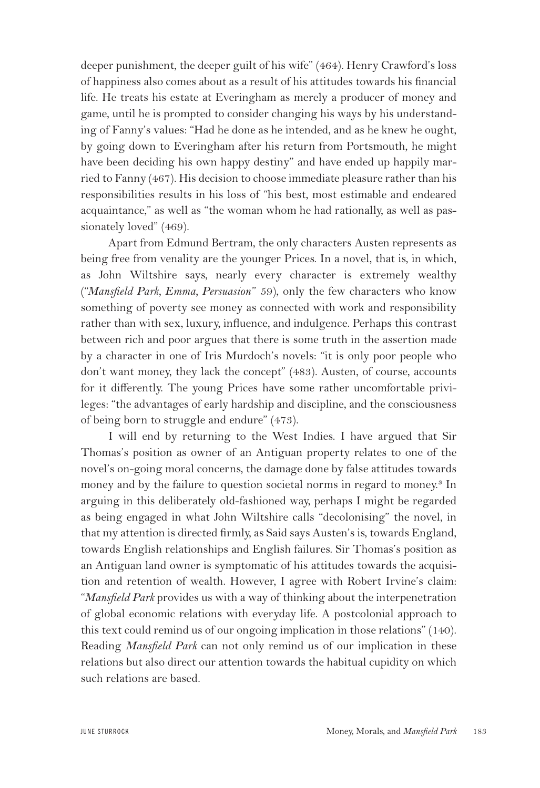deeper punishment, the deeper guilt of his wife" (464). Henry Crawford's loss of happiness also comes about as a result of his attitudes towards his financial life. He treats his estate at Everingham as merely a producer of money and game, until he is prompted to consider changing his ways by his understanding of Fanny's values: "Had he done as he intended, and as he knew he ought, by going down to Everingham after his return from Portsmouth, he might have been deciding his own happy destiny" and have ended up happily married to Fanny (467). His decision to choose immediate pleasure rather than his responsibilities results in his loss of "his best, most estimable and endeared acquaintance," as well as "the woman whom he had rationally, as well as passionately loved" (469).

Apart from Edmund Bertram, the only characters Austen represents as being free from venality are the younger Prices. In a novel, that is, in which, as John Wiltshire says, nearly every character is extremely wealthy ("*Mansfield Park, Emma, Persuasion*" 59), only the few characters who know something of poverty see money as connected with work and responsibility rather than with sex, luxury, influence, and indulgence. Perhaps this contrast between rich and poor argues that there is some truth in the assertion made by a character in one of Iris Murdoch's novels: "it is only poor people who don't want money, they lack the concept" (483). Austen, of course, accounts for it differently. The young Prices have some rather uncomfortable privileges: "the advantages of early hardship and discipline, and the consciousness of being born to struggle and endure" (473).

I will end by returning to the West Indies. I have argued that Sir Thomas's position as owner of an Antiguan property relates to one of the novel's on-going moral concerns, the damage done by false attitudes towards money and by the failure to question societal norms in regard to money.<sup>3</sup> In arguing in this deliberately old-fashioned way, perhaps I might be regarded as being engaged in what John Wiltshire calls "decolonising" the novel, in that my attention is directed firmly, as Said says Austen's is, towards England, towards English relationships and English failures. Sir Thomas's position as an Antiguan land owner is symptomatic of his attitudes towards the acquisition and retention of wealth. However, I agree with Robert Irvine's claim: "*Mansfield Park* provides us with a way of thinking about the interpenetration of global economic relations with everyday life. A postcolonial approach to this text could remind us of our ongoing implication in those relations" (140). Reading *Mansfield Park* can not only remind us of our implication in these relations but also direct our attention towards the habitual cupidity on which such relations are based.